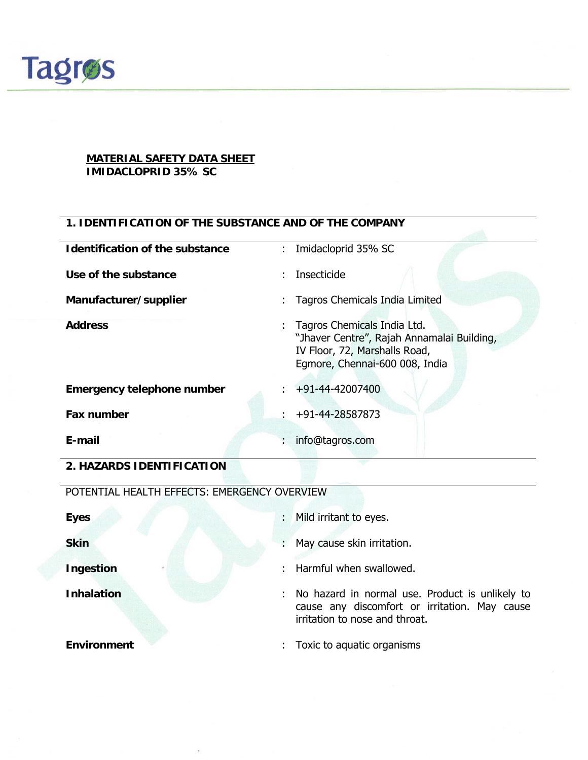

#### **MATERIAL SAFETY DATA SHEET IMIDACLOPRID 35% SC**

#### **1. IDENTIFICATION OF THE SUBSTANCE AND OF THE COMPANY**

| <b>Identification of the substance</b> | : Imidacloprid 35% SC                                                                                                                          |
|----------------------------------------|------------------------------------------------------------------------------------------------------------------------------------------------|
| Use of the substance                   | Insecticide                                                                                                                                    |
| Manufacturer/supplier                  | Tagros Chemicals India Limited                                                                                                                 |
| <b>Address</b>                         | : Tagros Chemicals India Ltd.<br>"Jhaver Centre", Rajah Annamalai Building,<br>IV Floor, 72, Marshalls Road,<br>Egmore, Chennai-600 008, India |
| <b>Emergency telephone number</b>      | $\div$ +91-44-42007400                                                                                                                         |
| Fax number                             | $\div$ +91-44-28587873                                                                                                                         |
| E-mail                                 | info@tagros.com                                                                                                                                |

**2. HAZARDS IDENTIFICATION** 

POTENTIAL HEALTH EFFECTS: EMERGENCY OVERVIEW

| <b>Eyes</b>        | Mild irritant to eyes.<br>$\mathcal{P}^{\mathcal{N}}$ , $\mathcal{P}^{\mathcal{N}}$                                                |
|--------------------|------------------------------------------------------------------------------------------------------------------------------------|
| <b>Skin</b><br>÷.  | May cause skin irritation.                                                                                                         |
| <b>Ingestion</b>   | Harmful when swallowed.                                                                                                            |
| <b>Inhalation</b>  | No hazard in normal use. Product is unlikely to<br>cause any discomfort or irritation. May cause<br>irritation to nose and throat. |
| <b>Environment</b> | Toxic to aquatic organisms                                                                                                         |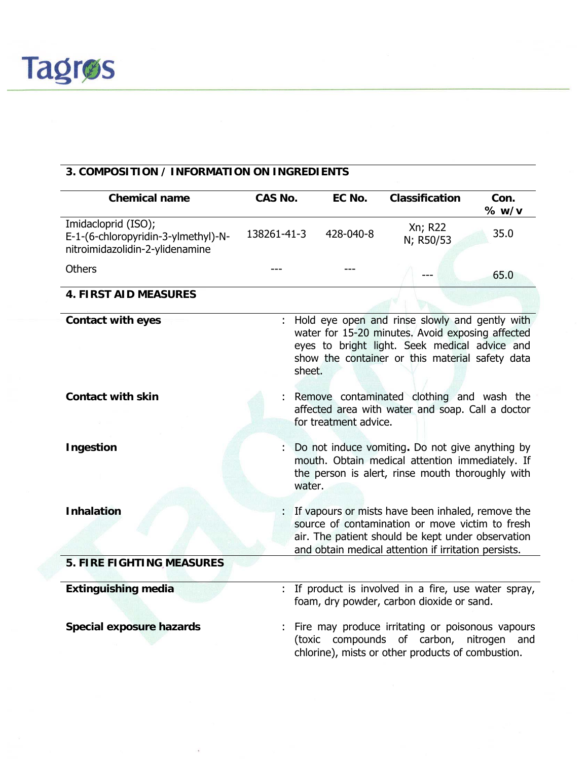

### **3. COMPOSITION / INFORMATION ON INGREDIENTS**

| <b>Chemical name</b>                                                                          | <b>CAS No.</b> | EC No.                | <b>Classification</b>                                                                                                                                                                                             | Con.<br>% w/v   |
|-----------------------------------------------------------------------------------------------|----------------|-----------------------|-------------------------------------------------------------------------------------------------------------------------------------------------------------------------------------------------------------------|-----------------|
| Imidacloprid (ISO);<br>E-1-(6-chloropyridin-3-ylmethyl)-N-<br>nitroimidazolidin-2-ylidenamine | 138261-41-3    | 428-040-8             | Xn; R22<br>N; R50/53                                                                                                                                                                                              | 35.0            |
| <b>Others</b>                                                                                 |                |                       |                                                                                                                                                                                                                   | 65.0            |
| <b>4. FIRST AID MEASURES</b>                                                                  |                |                       |                                                                                                                                                                                                                   |                 |
| <b>Contact with eyes</b>                                                                      | sheet.         |                       | Hold eye open and rinse slowly and gently with<br>water for 15-20 minutes. Avoid exposing affected<br>eyes to bright light. Seek medical advice and<br>show the container or this material safety data            |                 |
| <b>Contact with skin</b>                                                                      |                | for treatment advice. | Remove contaminated clothing and wash the<br>affected area with water and soap. Call a doctor                                                                                                                     |                 |
| Ingestion                                                                                     | water.         |                       | Do not induce vomiting. Do not give anything by<br>mouth. Obtain medical attention immediately. If<br>the person is alert, rinse mouth thoroughly with                                                            |                 |
| <b>Inhalation</b>                                                                             |                |                       | If vapours or mists have been inhaled, remove the<br>source of contamination or move victim to fresh<br>air. The patient should be kept under observation<br>and obtain medical attention if irritation persists. |                 |
| <b>5. FIRE FIGHTING MEASURES</b>                                                              |                |                       |                                                                                                                                                                                                                   |                 |
| <b>Extinguishing media</b>                                                                    |                |                       | : If product is involved in a fire, use water spray,<br>foam, dry powder, carbon dioxide or sand.                                                                                                                 |                 |
| <b>Special exposure hazards</b>                                                               |                |                       | : Fire may produce irritating or poisonous vapours<br>(toxic compounds of carbon,<br>chlorine), mists or other products of combustion.                                                                            | nitrogen<br>and |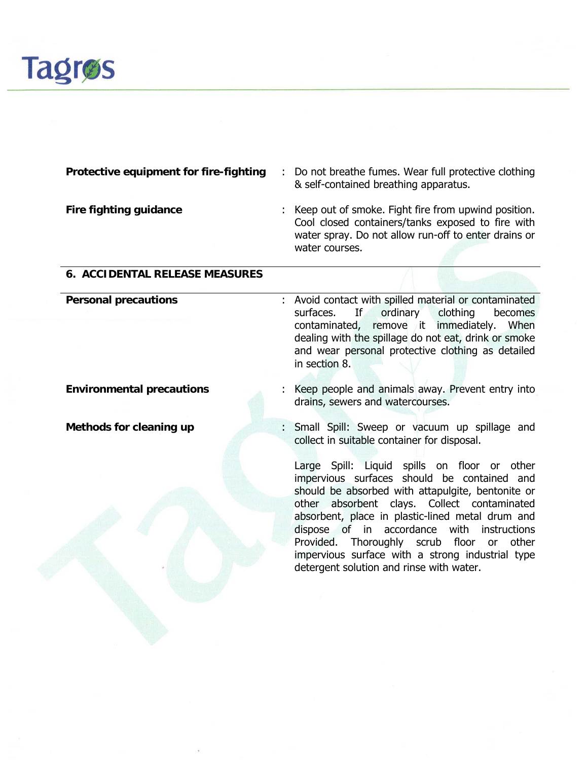

|  | <b>Protective equipment for fire-fighting : Do not breathe fumes. Wear full protective clothing</b> |
|--|-----------------------------------------------------------------------------------------------------|
|  | & self-contained breathing apparatus.                                                               |

**Fire fighting guidance** : Keep out of smoke. Fight fire from upwind position. Cool closed containers/tanks exposed to fire with water spray. Do not allow run-off to enter drains or water courses.

#### **6. ACCIDENTAL RELEASE MEASURES**

- **Personal precautions 1988** : Avoid contact with spilled material or contaminated surfaces. If ordinary clothing becomes contaminated, remove it immediately. When dealing with the spillage do not eat, drink or smoke and wear personal protective clothing as detailed in section 8.
- **Environmental precautions** : Keep people and animals away. Prevent entry into drains, sewers and watercourses.
- **Methods for cleaning up** : Small Spill: Sweep or vacuum up spillage and collect in suitable container for disposal.

Large Spill: Liquid spills on floor or other impervious surfaces should be contained and should be absorbed with attapulgite, bentonite or other absorbent clays. Collect contaminated absorbent, place in plastic-lined metal drum and dispose of in accordance with instructions Provided. Thoroughly scrub floor or other impervious surface with a strong industrial type detergent solution and rinse with water.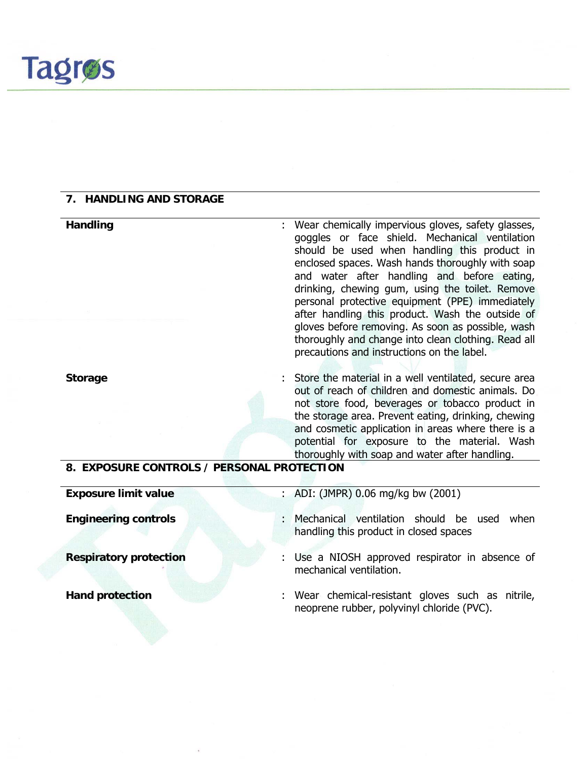#### **7. HANDLING AND STORAGE**

**Handling** : Wear chemically impervious gloves, safety glasses, goggles or face shield. Mechanical ventilation should be used when handling this product in enclosed spaces. Wash hands thoroughly with soap and water after handling and before eating, drinking, chewing gum, using the toilet. Remove personal protective equipment (PPE) immediately after handling this product. Wash the outside of gloves before removing. As soon as possible, wash thoroughly and change into clean clothing. Read all precautions and instructions on the label. **Storage** : Store the material in a well ventilated, secure area out of reach of children and domestic animals. Do not store food, beverages or tobacco product in the storage area. Prevent eating, drinking, chewing and cosmetic application in areas where there is a potential for exposure to the material. Wash thoroughly with soap and water after handling. **8. EXPOSURE CONTROLS / PERSONAL PROTECTION** 

**Exposure limit value** : ADI: (JMPR) 0.06 mg/kg bw (2001)

**Engineering controls** : Mechanical ventilation should be used when handling this product in closed spaces

**Respiratory protection** : Use a NIOSH approved respirator in absence of mechanical ventilation.

**Hand protection** : Wear chemical-resistant gloves such as nitrile, neoprene rubber, polyvinyl chloride (PVC).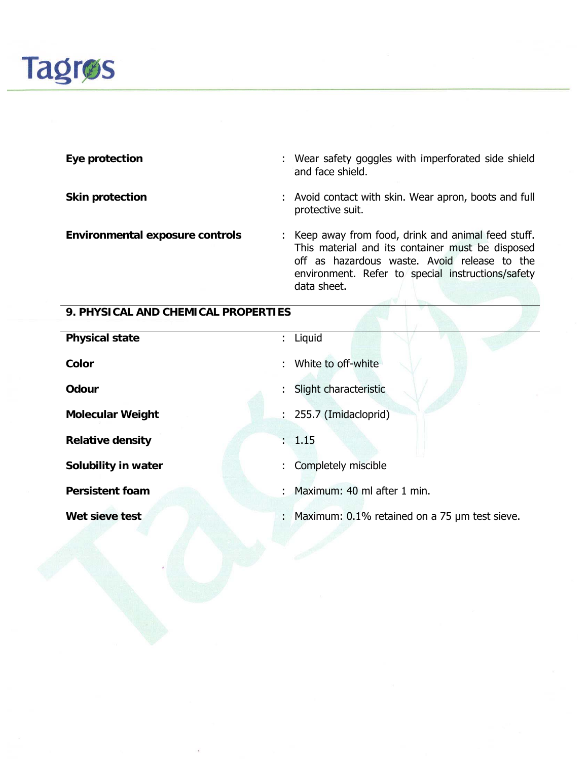

**Eye protection** : Wear safety goggles with imperforated side shield and face shield.

**Skin protection Skin protection 1988 1988 1989 1989 1989 1989 1989 1989 1989 1989 1989 1989 1989 1989 1989 1989 1989 1989 1989 1989 1989 1989 1989 1989 1989 1989 198** protective suit.

**Environmental exposure controls** : Keep away from food, drink and animal feed stuff. This material and its container must be disposed off as hazardous waste. Avoid release to the environment. Refer to special instructions/safety data sheet.

#### **9. PHYSICAL AND CHEMICAL PROPERTIES**

| <b>Physical state</b>   | : Liquid                                                |
|-------------------------|---------------------------------------------------------|
| Color                   | : White to off-white                                    |
| <b>Odour</b>            | : Slight characteristic                                 |
| <b>Molecular Weight</b> | $: 255.7$ (Imidacloprid)                                |
| <b>Relative density</b> | : 1.15                                                  |
| Solubility in water     | : Completely miscible                                   |
| <b>Persistent foam</b>  | : Maximum: 40 ml after 1 min.                           |
| Wet sieve test          | : Maximum: $0.1\%$ retained on a 75 $\mu$ m test sieve. |
|                         |                                                         |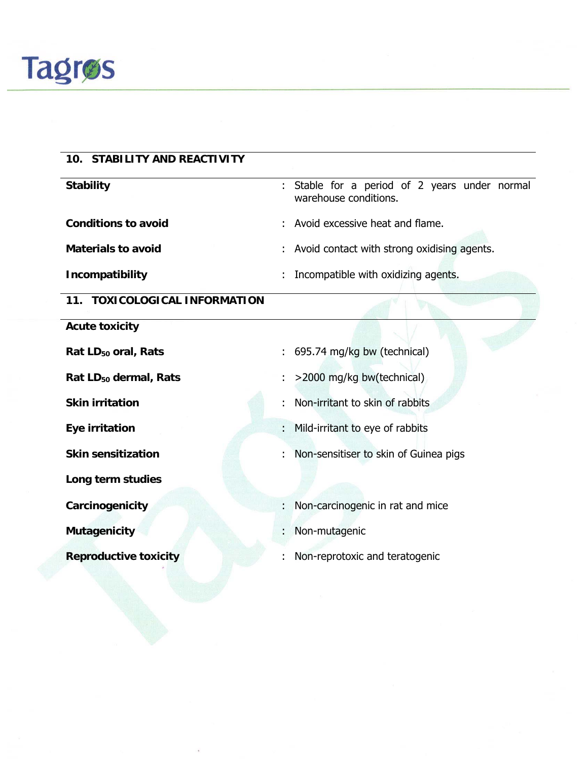

# **10. STABILITY AND REACTIVITY Stability** : Stable for a period of 2 years under normal warehouse conditions. **Conditions to avoid** : Avoid excessive heat and flame. **Materials to avoid Exercise 2018 :** Avoid contact with strong oxidising agents. **Incompatibility** : Incompatible with oxidizing agents. **11. TOXICOLOGICAL INFORMATION Acute toxicity**  Rat LD<sub>50</sub> oral, Rats **and State 3** and September 2014 in 1958.74 mg/kg bw (technical) Rat LD<sub>50</sub> dermal, Rats **:** >2000 mg/kg bw(technical) **Skin irritation** : Non-irritant to skin of rabbits **Eye irritation** : Mild-irritant to eye of rabbits **Skin sensitization** : Non-sensitiser to skin of Guinea pigs **Long term studies Carcinogenicity** : Non-carcinogenic in rat and mice **Mutagenicity** : Non-mutagenic **Reproductive toxicity** : Non-reprotoxic and teratogenic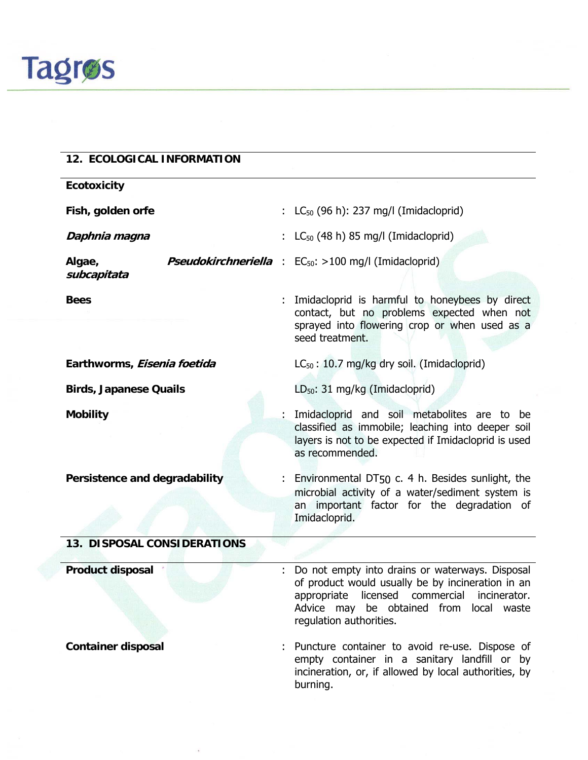

### **12. ECOLOGICAL INFORMATION**

| <b>Ecotoxicity</b>                 |  |                                                                                                                                                                                                                                 |
|------------------------------------|--|---------------------------------------------------------------------------------------------------------------------------------------------------------------------------------------------------------------------------------|
| Fish, golden orfe                  |  | : $LC_{50}$ (96 h): 237 mg/l (Imidacloprid)                                                                                                                                                                                     |
| Daphnia magna                      |  | : $LC_{50}$ (48 h) 85 mg/l (Imidacloprid)                                                                                                                                                                                       |
| Algae,<br>subcapitata              |  | <b>Pseudokirchneriella</b> : EC <sub>50</sub> : >100 mg/l (Imidacloprid)                                                                                                                                                        |
| <b>Bees</b>                        |  | : Imidacloprid is harmful to honeybees by direct<br>contact, but no problems expected when not<br>sprayed into flowering crop or when used as a<br>seed treatment.                                                              |
| Earthworms, Eisenia foetida        |  | $LC_{50}$ : 10.7 mg/kg dry soil. (Imidacloprid)                                                                                                                                                                                 |
| <b>Birds, Japanese Quails</b>      |  | LD <sub>50</sub> : 31 mg/kg (Imidacloprid)                                                                                                                                                                                      |
| <b>Mobility</b>                    |  | : Imidacloprid and soil metabolites are to be<br>classified as immobile; leaching into deeper soil<br>layers is not to be expected if Imidacloprid is used<br>as recommended.                                                   |
| Persistence and degradability      |  | : Environmental DT50 c. 4 h. Besides sunlight, the<br>microbial activity of a water/sediment system is<br>an important factor for the degradation of<br>Imidacloprid.                                                           |
| <b>13. DISPOSAL CONSIDERATIONS</b> |  |                                                                                                                                                                                                                                 |
| <b>Product disposal</b>            |  | : Do not empty into drains or waterways. Disposal<br>of product would usually be by incineration in an<br>appropriate licensed commercial<br>incinerator.<br>Advice may be obtained from local waste<br>regulation authorities. |
| <b>Container disposal</b>          |  | Puncture container to avoid re-use. Dispose of                                                                                                                                                                                  |

empty container in a sanitary landfill or by incineration, or, if allowed by local authorities, by burning.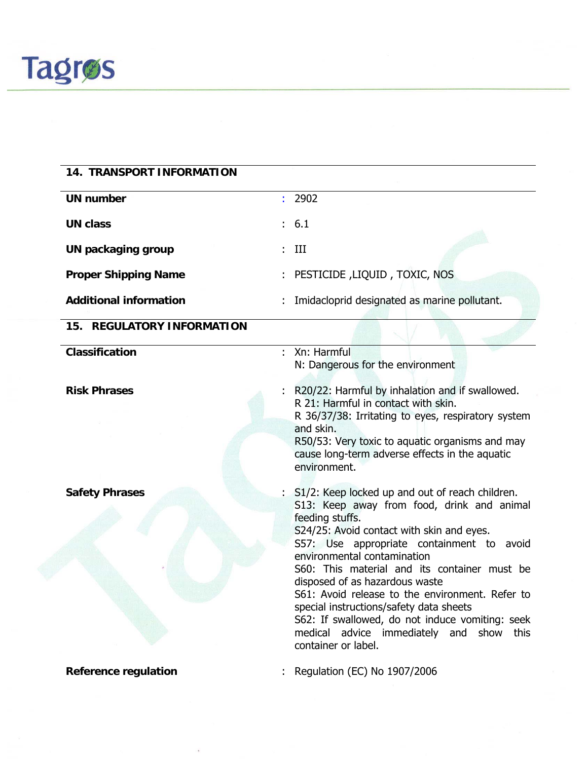

| <b>14. TRANSPORT INFORMATION</b>  |                                                                                                                                                                                                                                                                                                                                                                                                                                                                                                                                                   |
|-----------------------------------|---------------------------------------------------------------------------------------------------------------------------------------------------------------------------------------------------------------------------------------------------------------------------------------------------------------------------------------------------------------------------------------------------------------------------------------------------------------------------------------------------------------------------------------------------|
| <b>UN number</b>                  | : 2902                                                                                                                                                                                                                                                                                                                                                                                                                                                                                                                                            |
| <b>UN class</b>                   | : 6.1                                                                                                                                                                                                                                                                                                                                                                                                                                                                                                                                             |
| <b>UN packaging group</b>         | III                                                                                                                                                                                                                                                                                                                                                                                                                                                                                                                                               |
| <b>Proper Shipping Name</b>       | : PESTICIDE, LIQUID, TOXIC, NOS                                                                                                                                                                                                                                                                                                                                                                                                                                                                                                                   |
| <b>Additional information</b>     | Imidacloprid designated as marine pollutant.                                                                                                                                                                                                                                                                                                                                                                                                                                                                                                      |
| <b>15. REGULATORY INFORMATION</b> |                                                                                                                                                                                                                                                                                                                                                                                                                                                                                                                                                   |
| <b>Classification</b>             | : Xn: Harmful<br>N: Dangerous for the environment                                                                                                                                                                                                                                                                                                                                                                                                                                                                                                 |
| <b>Risk Phrases</b>               | R20/22: Harmful by inhalation and if swallowed.<br>R 21: Harmful in contact with skin.<br>R 36/37/38: Irritating to eyes, respiratory system<br>and skin.<br>R50/53: Very toxic to aquatic organisms and may<br>cause long-term adverse effects in the aquatic<br>environment.                                                                                                                                                                                                                                                                    |
| <b>Safety Phrases</b>             | : S1/2: Keep locked up and out of reach children.<br>S13: Keep away from food, drink and animal<br>feeding stuffs.<br>S24/25: Avoid contact with skin and eyes.<br>S57: Use appropriate containment to avoid<br>environmental contamination<br>S60: This material and its container must be<br>disposed of as hazardous waste<br>S61: Avoid release to the environment. Refer to<br>special instructions/safety data sheets<br>S62: If swallowed, do not induce vomiting: seek<br>medical advice immediately and show this<br>container or label. |
| <b>Reference regulation</b>       | Regulation (EC) No 1907/2006                                                                                                                                                                                                                                                                                                                                                                                                                                                                                                                      |